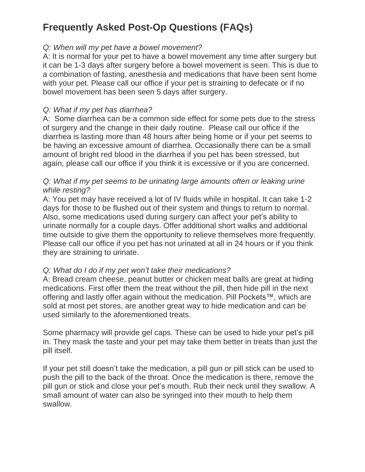# **Frequently Asked Post-Op Questions (FAQs)**

### *Q: When will my pet have a bowel movement?*

A: It is normal for your pet to have a bowel movement any time after surgery but it can be 1-3 days after surgery before a bowel movement is seen. This is due to a combination of fasting, anesthesia and medications that have been sent home with your pet. Please call our office if your pet is straining to defecate or if no bowel movement has been seen 5 days after surgery.

### *Q: What if my pet has diarrhea?*

A: Some diarrhea can be a common side effect for some pets due to the stress of surgery and the change in their daily routine. Please call our office if the diarrhea is lasting more than 48 hours after being home or if your pet seems to be having an excessive amount of diarrhea. Occasionally there can be a small amount of bright red blood in the diarrhea if you pet has been stressed, but again, please call our office if you think it is excessive or if you are concerned.

### *Q: What if my pet seems to be urinating large amounts often or leaking urine while resting?*

A: You pet may have received a lot of IV fluids while in hospital. It can take 1-2 days for those to be flushed out of their system and things to return to normal. Also, some medications used during surgery can affect your pet's ability to urinate normally for a couple days. Offer additional short walks and additional time outside to give them the opportunity to relieve themselves more frequently. Please call our office if you pet has not urinated at all in 24 hours or if you think they are straining to urinate.

### *Q: What do I do if my pet won't take their medications?*

A: Bread cream cheese, peanut butter or chicken meat balls are great at hiding medications. First offer them the treat without the pill, then hide pill in the next offering and lastly offer again without the medication. Pill Pockets™, which are sold at most pet stores, are another great way to hide medication and can be used similarly to the aforementioned treats.

Some pharmacy will provide gel caps. These can be used to hide your pet's pill in. They mask the taste and your pet may take them better in treats than just the pill itself.

If your pet still doesn't take the medication, a pill gun or pill stick can be used to push the pill to the back of the throat. Once the medication is there, remove the pill gun or stick and close your pet's mouth. Rub their neck until they swallow. A small amount of water can also be syringed into their mouth to help them swallow.